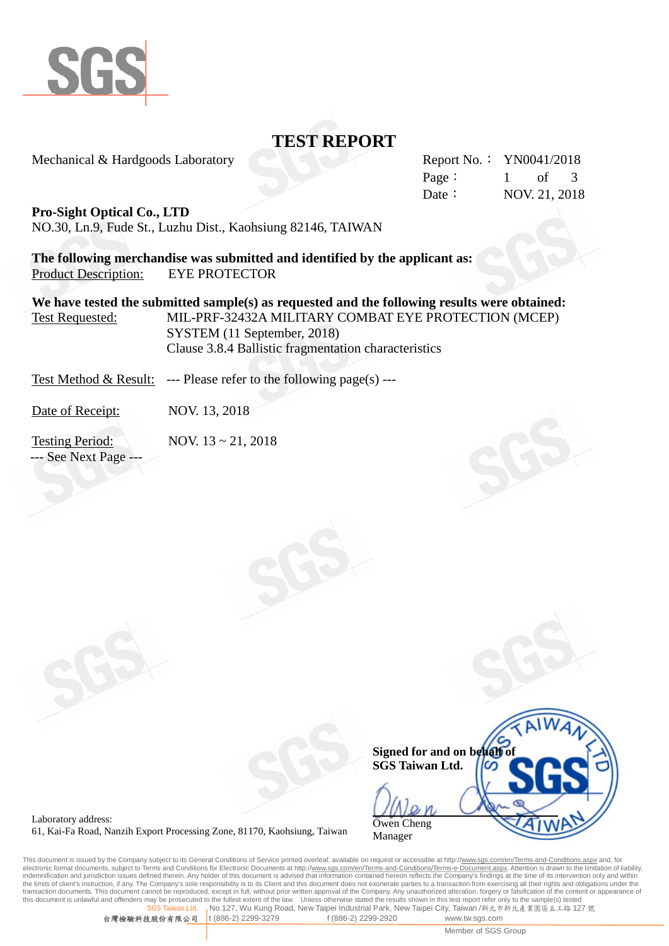

# **TEST REPORT**

Mechanical & Hardgoods Laboratory

|        | Report No.: YN0041/2018 |                   |  |  |
|--------|-------------------------|-------------------|--|--|
| Page:  | $\mathbf{1}$            | of $\overline{3}$ |  |  |
| Date : | NOV. 21, 2018           |                   |  |  |

## **Pro-Sight Optical Co., LTD**

NO.30, Ln.9, Fude St., Luzhu Dist., Kaohsiung 82146, TAIWAN

**The following merchandise was submitted and identified by the applicant as:** Product Description: EYE PROTECTOR

**We have tested the submitted sample(s) as requested and the following results were obtained:** Test Requested: MIL-PRF-32432A MILITARY COMBAT EYE PROTECTION (MCEP) SYSTEM (11 September, 2018) Clause 3.8.4 Ballistic fragmentation characteristics

Test Method & Result: --- Please refer to the following page(s) ---

Date of Receipt: NOV. 13, 2018

Testing Period: NOV. 13 ~ 21, 2018 --- See Next Page ---



Laboratory address: 61, Kai-Fa Road, Nanzih Export Processing Zone, 81170, Kaohsiung, Taiwan

This document is issued by the Company subject to its General Conditions of Service printed overleaf, available on request or accessible at http://<u>www.sgs.com/en/Terms-and-Conditions.aspx</u> and, for<br>electronic format docum indemnification and jurisdiction issues defined therein. Any holder of this document is advised that information contained hereon reflects the Company's findings at the time of its intervention only and within the limits of client's instruction, if any. The Company's sole responsibility is to its Client and this document does not exonerate parties to a transaction from exercising all their rights and obligations under the transaction documents. This document cannot be reproduced, except in full, without prior written approval of the Company. Any unauthorized alteration, forgery or falsification of the content or appearance of this document is unlawful and offenders may be prosecuted to the fullest extent of the law. Unless otherwise stated the results shown in this test report refer only to the sample(s) tested<br>SGS Talwan Hd ... No 127 Wu Kung **No.127, Wu Kung Road, New Taipei Industrial Park, New Taipei City, Taiwan /新北市新北產業園區五工路 127 號** 

台灣檢驗科技股份有限公司 t (886-2) 2299-3279 f (886-2) 2299-2920 www.tw.sgs.com

Member of SGS Group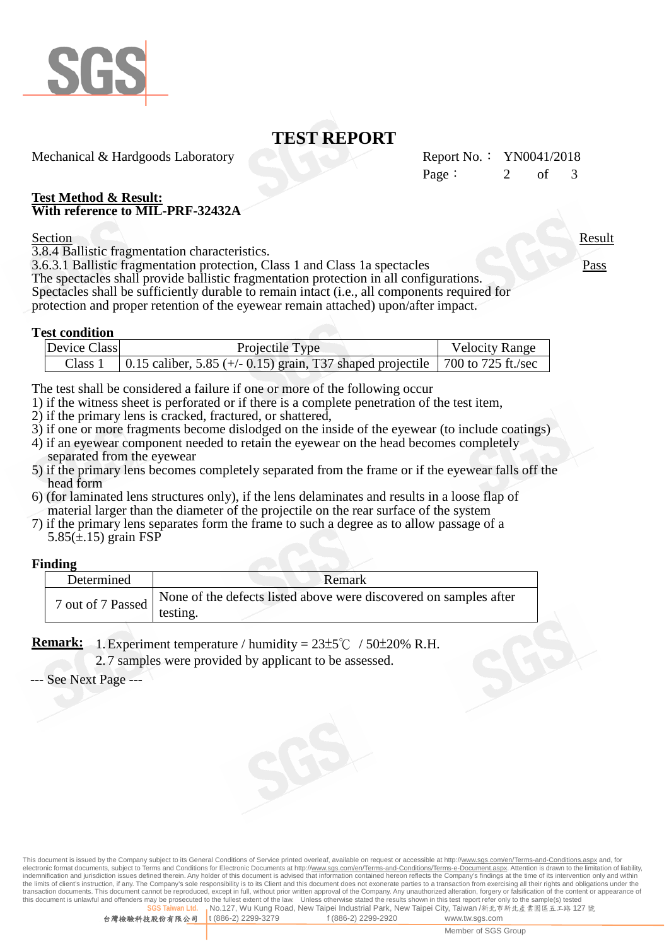

# **TEST REPORT**

Mechanical & Hardgoods Laboratory

| Report No.: $YN0041/2018$ |     |               |  |
|---------------------------|-----|---------------|--|
| Page:                     | of. | $\mathcal{R}$ |  |

## **Test Method & Result: With reference to MIL-PRF-32432A**

Section Result

3.8.4 Ballistic fragmentation characteristics.

3.6.3.1 Ballistic fragmentation protection, Class 1 and Class 1a spectacles Pass

The spectacles shall provide ballistic fragmentation protection in all configurations. Spectacles shall be sufficiently durable to remain intact (i.e., all components required for protection and proper retention of the eyewear remain attached) upon/after impact.

## **Test condition**

| Device Class | Projectile Type                                                                    | <b>Velocity Range</b> |
|--------------|------------------------------------------------------------------------------------|-----------------------|
| Class 1      | 0.15 caliber, 5.85 ( $+/-$ 0.15) grain, T37 shaped projectile   700 to 725 ft./sec |                       |

The test shall be considered a failure if one or more of the following occur

1) if the witness sheet is perforated or if there is a complete penetration of the test item,

- 2) if the primary lens is cracked, fractured, or shattered,
- 3) if one or more fragments become dislodged on the inside of the eyewear (to include coatings)
- 4) if an eyewear component needed to retain the eyewear on the head becomes completely separated from the eyewear
- 5) if the primary lens becomes completely separated from the frame or if the eyewear falls off the head form
- 6) (for laminated lens structures only), if the lens delaminates and results in a loose flap of material larger than the diameter of the projectile on the rear surface of the system
- 7) if the primary lens separates form the frame to such a degree as to allow passage of a  $5.85(\pm.15)$  grain FSP

## **Finding**

| Determined        | Remark                                                            |  |
|-------------------|-------------------------------------------------------------------|--|
| 7 out of 7 Passed | None of the defects listed above were discovered on samples after |  |
|                   | testing.                                                          |  |

**Remark:** 1. Experiment temperature / humidity =  $23\pm5^{\circ}$   $\text{C}$  /  $50\pm20\%$  R.H.

2. 7 samples were provided by applicant to be assessed.

--- See Next Page ---

This document is issued by the Company subject to its General Conditions of Service printed overleaf, available on request or accessible at http://<u>www.sgs.com/en/Terms-and-Conditions.aspx</u> and, for<br>electronic format docum indemnification and jurisdiction issues defined therein. Any holder of this document is advised that information contained hereon reflects the Company's findings at the time of its intervention only and within the limits of client's instruction, if any. The Company's sole responsibility is to its Client and this document does not exonerate parties to a transaction from exercising all their rights and obligations under the transaction documents. This document cannot be reproduced, except in full, without prior written approval of the Company. Any unauthorized alteration, forgery or falsification of the content or appearance of this document is unlawful and offenders may be prosecuted to the fullest extent of the law. Unless otherwise stated the results shown in this test report refer only to the sample(s) tested **No.127, Wu Kung Road, New Taipei Industrial Park, New Taipei City, Taiwan /新北市新北產業園區五工路 127 號**